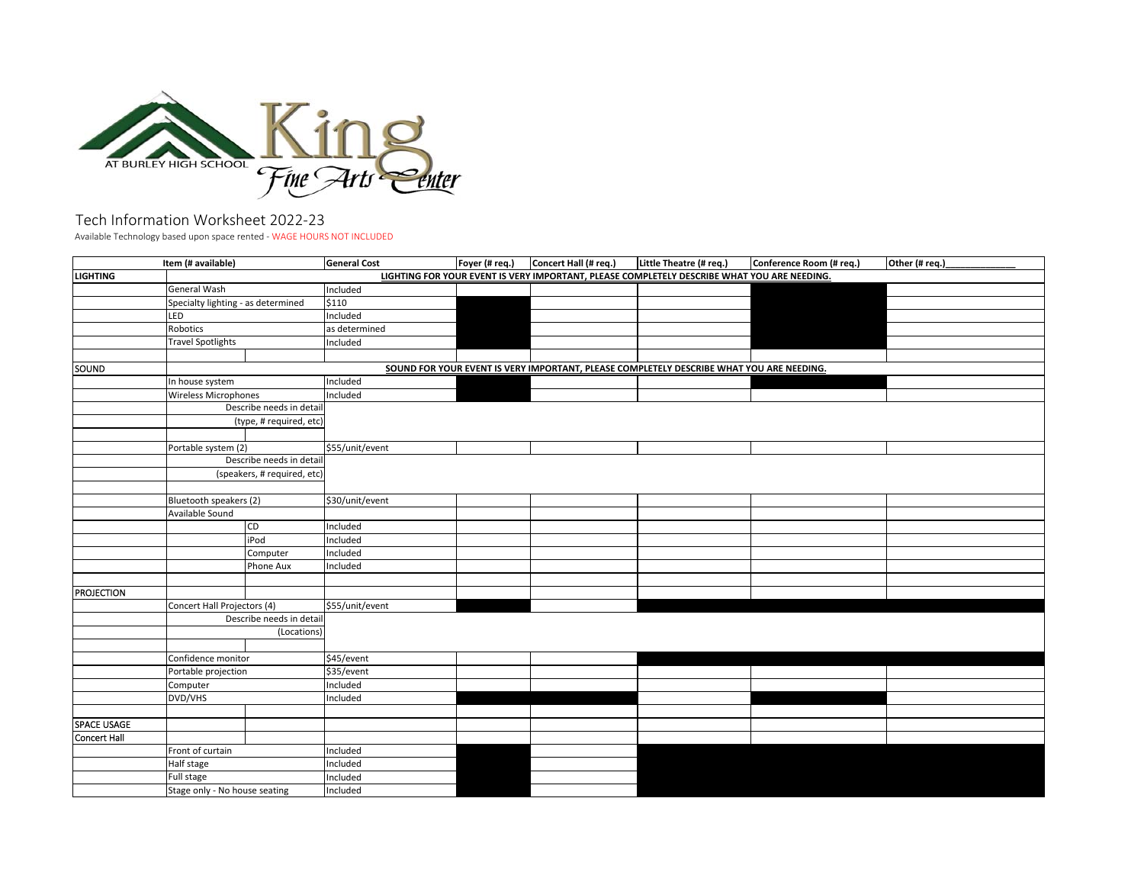

## Tech Information Worksheet 2022‐23

Available Technology based upon space rented ‐ WAGE HOURS NOT INCLUDED

|                     | Item (# available)                 |           | <b>General Cost</b>                                                                      | Foyer (# req.) | Concert Hall (# req.) | Little Theatre (# req.)                                                                     | Conference Room (# req.) | Other (# req.) |  |
|---------------------|------------------------------------|-----------|------------------------------------------------------------------------------------------|----------------|-----------------------|---------------------------------------------------------------------------------------------|--------------------------|----------------|--|
| <b>LIGHTING</b>     |                                    |           |                                                                                          |                |                       | LIGHTING FOR YOUR EVENT IS VERY IMPORTANT, PLEASE COMPLETELY DESCRIBE WHAT YOU ARE NEEDING. |                          |                |  |
|                     | <b>General Wash</b>                |           | Included                                                                                 |                |                       |                                                                                             |                          |                |  |
|                     | Specialty lighting - as determined |           | \$110                                                                                    |                |                       |                                                                                             |                          |                |  |
|                     | LED                                |           | Included                                                                                 |                |                       |                                                                                             |                          |                |  |
|                     | Robotics                           |           | as determined                                                                            |                |                       |                                                                                             |                          |                |  |
|                     | <b>Travel Spotlights</b>           |           | Included                                                                                 |                |                       |                                                                                             |                          |                |  |
|                     |                                    |           |                                                                                          |                |                       |                                                                                             |                          |                |  |
| SOUND               |                                    |           | SOUND FOR YOUR EVENT IS VERY IMPORTANT, PLEASE COMPLETELY DESCRIBE WHAT YOU ARE NEEDING. |                |                       |                                                                                             |                          |                |  |
|                     | In house system                    |           | Included                                                                                 |                |                       |                                                                                             |                          |                |  |
|                     | <b>Wireless Microphones</b>        |           | Included                                                                                 |                |                       |                                                                                             |                          |                |  |
|                     | Describe needs in detail           |           |                                                                                          |                |                       |                                                                                             |                          |                |  |
|                     | (type, # required, etc)            |           |                                                                                          |                |                       |                                                                                             |                          |                |  |
|                     |                                    |           |                                                                                          |                |                       |                                                                                             |                          |                |  |
|                     | Portable system (2)                |           | \$55/unit/event                                                                          |                |                       |                                                                                             |                          |                |  |
|                     | Describe needs in detail           |           |                                                                                          |                |                       |                                                                                             |                          |                |  |
|                     | (speakers, # required, etc)        |           |                                                                                          |                |                       |                                                                                             |                          |                |  |
|                     |                                    |           |                                                                                          |                |                       |                                                                                             |                          |                |  |
|                     | Bluetooth speakers (2)             |           | \$30/unit/event                                                                          |                |                       |                                                                                             |                          |                |  |
|                     | Available Sound                    |           |                                                                                          |                |                       |                                                                                             |                          |                |  |
|                     |                                    | CD        | Included                                                                                 |                |                       |                                                                                             |                          |                |  |
|                     |                                    | iPod      | Included                                                                                 |                |                       |                                                                                             |                          |                |  |
|                     |                                    | Computer  | Included                                                                                 |                |                       |                                                                                             |                          |                |  |
|                     |                                    | Phone Aux | Included                                                                                 |                |                       |                                                                                             |                          |                |  |
|                     |                                    |           |                                                                                          |                |                       |                                                                                             |                          |                |  |
| <b>PROJECTION</b>   |                                    |           |                                                                                          |                |                       |                                                                                             |                          |                |  |
|                     | Concert Hall Projectors (4)        |           | \$55/unit/event                                                                          |                |                       |                                                                                             |                          |                |  |
|                     | Describe needs in detail           |           |                                                                                          |                |                       |                                                                                             |                          |                |  |
|                     | (Locations)                        |           |                                                                                          |                |                       |                                                                                             |                          |                |  |
|                     |                                    |           |                                                                                          |                |                       |                                                                                             |                          |                |  |
|                     | Confidence monitor                 |           | \$45/event                                                                               |                |                       |                                                                                             |                          |                |  |
|                     | Portable projection                |           | \$35/event                                                                               |                |                       |                                                                                             |                          |                |  |
|                     | Computer                           |           | Included                                                                                 |                |                       |                                                                                             |                          |                |  |
|                     | DVD/VHS                            |           | Included                                                                                 |                |                       |                                                                                             |                          |                |  |
|                     |                                    |           |                                                                                          |                |                       |                                                                                             |                          |                |  |
| <b>SPACE USAGE</b>  |                                    |           |                                                                                          |                |                       |                                                                                             |                          |                |  |
| <b>Concert Hall</b> |                                    |           |                                                                                          |                |                       |                                                                                             |                          |                |  |
|                     | Front of curtain                   |           | Included                                                                                 |                |                       |                                                                                             |                          |                |  |
|                     | Half stage                         |           | Included                                                                                 |                |                       |                                                                                             |                          |                |  |
|                     | Full stage                         |           | Included                                                                                 |                |                       |                                                                                             |                          |                |  |
|                     | Stage only - No house seating      |           | Included                                                                                 |                |                       |                                                                                             |                          |                |  |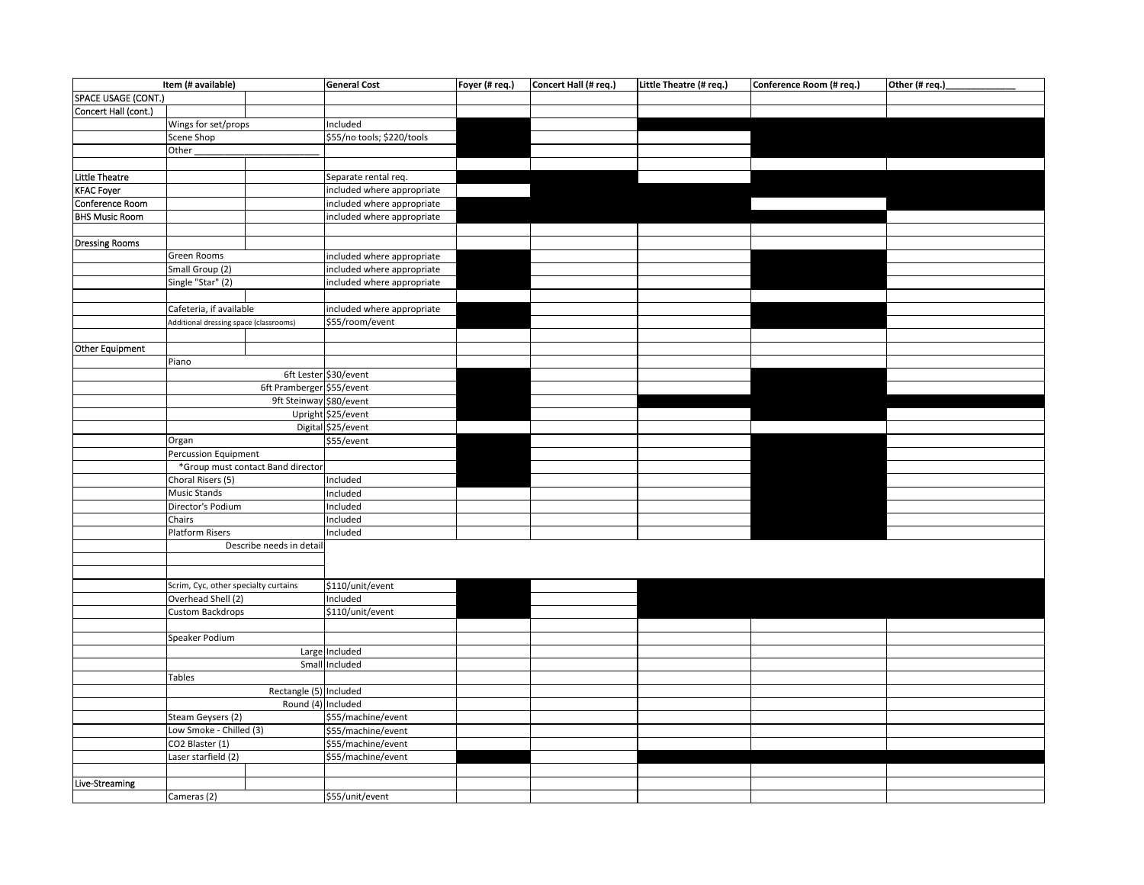| Item (# available)    |                                        |                        | <b>General Cost</b>        | Foyer (# req.) | Concert Hall (# req.) | Little Theatre (# req.) | Conference Room (# req.) | Other (# req.) |
|-----------------------|----------------------------------------|------------------------|----------------------------|----------------|-----------------------|-------------------------|--------------------------|----------------|
| SPACE USAGE (CONT.)   |                                        |                        |                            |                |                       |                         |                          |                |
| Concert Hall (cont.)  |                                        |                        |                            |                |                       |                         |                          |                |
|                       | Wings for set/props                    |                        | Included                   |                |                       |                         |                          |                |
|                       | Scene Shop                             |                        | \$55/no tools; \$220/tools |                |                       |                         |                          |                |
|                       | Other                                  |                        |                            |                |                       |                         |                          |                |
|                       |                                        |                        |                            |                |                       |                         |                          |                |
| <b>Little Theatre</b> |                                        |                        | Separate rental req.       |                |                       |                         |                          |                |
| <b>KFAC Foyer</b>     |                                        |                        | included where appropriate |                |                       |                         |                          |                |
| Conference Room       |                                        |                        | included where appropriate |                |                       |                         |                          |                |
| <b>BHS Music Room</b> |                                        |                        | included where appropriate |                |                       |                         |                          |                |
|                       |                                        |                        |                            |                |                       |                         |                          |                |
| <b>Dressing Rooms</b> |                                        |                        |                            |                |                       |                         |                          |                |
|                       | Green Rooms                            |                        | included where appropriate |                |                       |                         |                          |                |
|                       | Small Group (2)                        |                        | included where appropriate |                |                       |                         |                          |                |
|                       | Single "Star" (2)                      |                        | included where appropriate |                |                       |                         |                          |                |
|                       |                                        |                        |                            |                |                       |                         |                          |                |
|                       | Cafeteria, if available                |                        | included where appropriate |                |                       |                         |                          |                |
|                       | Additional dressing space (classrooms) |                        | \$55/room/event            |                |                       |                         |                          |                |
|                       |                                        |                        |                            |                |                       |                         |                          |                |
| Other Equipment       |                                        |                        |                            |                |                       |                         |                          |                |
|                       | Piano                                  |                        |                            |                |                       |                         |                          |                |
|                       |                                        |                        | 6ft Lester \$30/event      |                |                       |                         |                          |                |
|                       | 6ft Pramberger \$55/event              |                        |                            |                |                       |                         |                          |                |
|                       | 9ft Steinway \$80/event                |                        |                            |                |                       |                         |                          |                |
|                       |                                        |                        | Upright \$25/event         |                |                       |                         |                          |                |
|                       |                                        |                        | Digital \$25/event         |                |                       |                         |                          |                |
|                       | Organ                                  |                        | \$55/event                 |                |                       |                         |                          |                |
|                       | Percussion Equipment                   |                        |                            |                |                       |                         |                          |                |
|                       | *Group must contact Band director      |                        |                            |                |                       |                         |                          |                |
|                       | Choral Risers (5)                      |                        | Included                   |                |                       |                         |                          |                |
|                       | <b>Music Stands</b>                    |                        | Included                   |                |                       |                         |                          |                |
|                       | Director's Podium                      |                        | Included                   |                |                       |                         |                          |                |
|                       | Chairs                                 |                        | Included                   |                |                       |                         |                          |                |
|                       | <b>Platform Risers</b>                 |                        | Included                   |                |                       |                         |                          |                |
|                       | Describe needs in detai                |                        |                            |                |                       |                         |                          |                |
|                       |                                        |                        |                            |                |                       |                         |                          |                |
|                       |                                        |                        |                            |                |                       |                         |                          |                |
|                       | Scrim, Cyc, other specialty curtains   |                        | \$110/unit/event           |                |                       |                         |                          |                |
|                       | Overhead Shell (2)                     |                        | Included                   |                |                       |                         |                          |                |
|                       | Custom Backdrops<br>Speaker Podium     |                        | \$110/unit/event           |                |                       |                         |                          |                |
|                       |                                        |                        |                            |                |                       |                         |                          |                |
|                       |                                        |                        | Large Included             |                |                       |                         |                          |                |
|                       |                                        |                        | Small Included             |                |                       |                         |                          |                |
|                       | Tables                                 |                        |                            |                |                       |                         |                          |                |
|                       |                                        | Rectangle (5) Included |                            |                |                       |                         |                          |                |
|                       |                                        | Round (4) Included     |                            |                |                       |                         |                          |                |
|                       | Steam Geysers (2)                      |                        | \$55/machine/event         |                |                       |                         |                          |                |
|                       | Low Smoke - Chilled (3)                |                        | \$55/machine/event         |                |                       |                         |                          |                |
|                       | CO2 Blaster (1)                        |                        | \$55/machine/event         |                |                       |                         |                          |                |
|                       | Laser starfield (2)                    |                        | \$55/machine/event         |                |                       |                         |                          |                |
|                       |                                        |                        |                            |                |                       |                         |                          |                |
| Live-Streaming        |                                        |                        |                            |                |                       |                         |                          |                |
|                       | Cameras (2)                            |                        | \$55/unit/event            |                |                       |                         |                          |                |
|                       |                                        |                        |                            |                |                       |                         |                          |                |